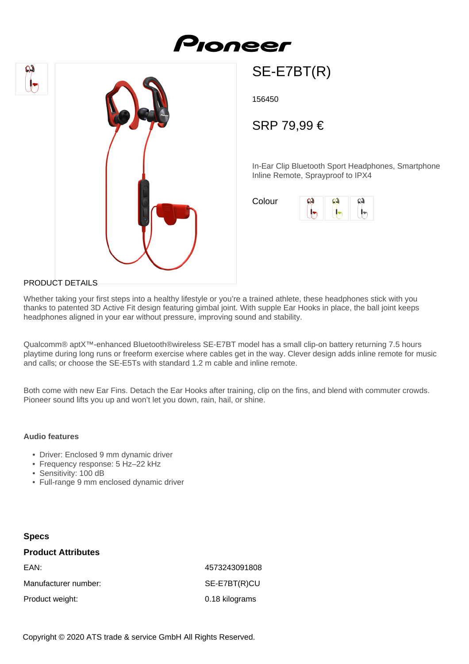



SE-E7BT(R)

156450

SRP 79,99 €

In-Ear Clip Bluetooth Sport Headphones, Smartphone Inline Remote, Sprayproof to IPX4

Colour



## PRODUCT DETAILS

Whether taking your first steps into a healthy lifestyle or you're a trained athlete, these headphones stick with you thanks to patented 3D Active Fit design featuring gimbal joint. With supple Ear Hooks in place, the ball joint keeps headphones aligned in your ear without pressure, improving sound and stability.

Qualcomm® aptX™-enhanced Bluetooth®wireless SE-E7BT model has a small clip-on battery returning 7.5 hours playtime during long runs or freeform exercise where cables get in the way. Clever design adds inline remote for music and calls; or choose the SE-E5Ts with standard 1.2 m cable and inline remote.

Both come with new Ear Fins. Detach the Ear Hooks after training, clip on the fins, and blend with commuter crowds. Pioneer sound lifts you up and won't let you down, rain, hail, or shine.

## **Audio features**

- Driver: Enclosed 9 mm dynamic driver
- Frequency response: 5 Hz–22 kHz
- Sensitivity: 100 dB
- Full-range 9 mm enclosed dynamic driver

## **Specs Product Attributes** EAN: 4573243091808 Manufacturer number: SE-E7BT(R)CU Product weight: 0.18 kilograms

Copyright © 2020 ATS trade & service GmbH All Rights Reserved.